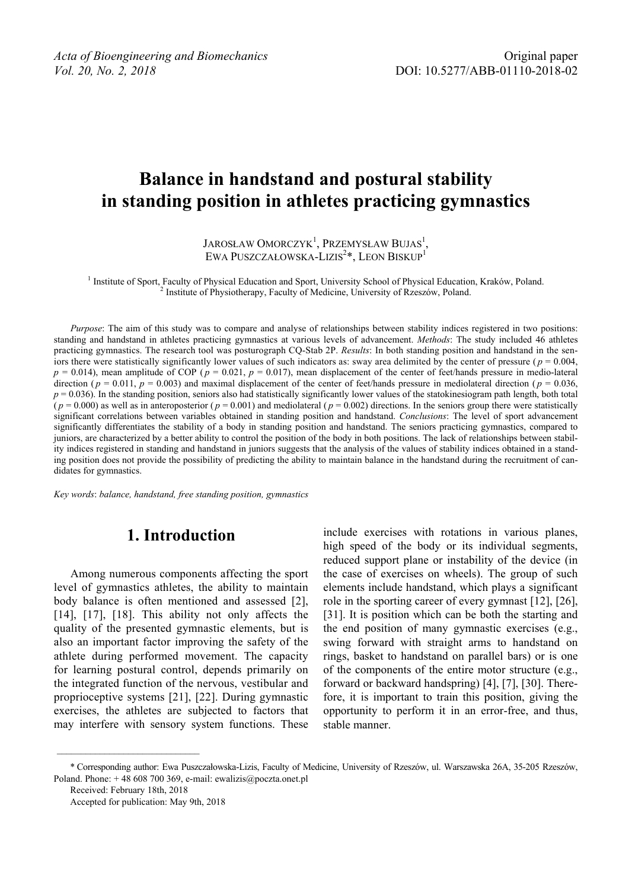# **Balance in handstand and postural stability in standing position in athletes practicing gymnastics**

JAROSŁAW OMORCZYK<sup>1</sup>, Przemysław Bujas<sup>1</sup>, EWA PUSZCZAŁOWSKA-LIZIS<sup>2</sup>\*, LEON BISKUP<sup>1</sup>

<sup>1</sup> Institute of Sport, Faculty of Physical Education and Sport, University School of Physical Education, Kraków, Poland. <sup>2</sup> Institute of Physical Education, <sup>2</sup> Institute of Physical Education, <sup>2</sup> Institute of Physical <sup>2</sup> Institute of Physiotherapy, Faculty of Medicine, University of Rzeszów, Poland.

*Purpose*: The aim of this study was to compare and analyse of relationships between stability indices registered in two positions: standing and handstand in athletes practicing gymnastics at various levels of advancement. *Methods*: The study included 46 athletes practicing gymnastics. The research tool was posturograph CQ-Stab 2P. *Results*: In both standing position and handstand in the seniors there were statistically significantly lower values of such indicators as: sway area delimited by the center of pressure ( $p = 0.004$ ,  $p = 0.014$ ), mean amplitude of COP ( $p = 0.021$ ,  $p = 0.017$ ), mean displacement of the center of feet/hands pressure in medio-lateral direction ( $p = 0.011$ ,  $p = 0.003$ ) and maximal displacement of the center of feet/hands pressure in mediolateral direction ( $p = 0.036$ ,  $p = 0.036$ ). In the standing position, seniors also had statistically significantly lower values of the statokinesiogram path length, both total  $(p = 0.000)$  as well as in anteroposterior  $(p = 0.001)$  and mediolateral  $(p = 0.002)$  directions. In the seniors group there were statistically significant correlations between variables obtained in standing position and handstand. *Conclusions*: The level of sport advancement significantly differentiates the stability of a body in standing position and handstand. The seniors practicing gymnastics, compared to juniors, are characterized by a better ability to control the position of the body in both positions. The lack of relationships between stability indices registered in standing and handstand in juniors suggests that the analysis of the values of stability indices obtained in a standing position does not provide the possibility of predicting the ability to maintain balance in the handstand during the recruitment of candidates for gymnastics.

*Key words*: *balance, handstand, free standing position, gymnastics*

## **1. Introduction**

Among numerous components affecting the sport level of gymnastics athletes, the ability to maintain body balance is often mentioned and assessed [2], [14], [17], [18]. This ability not only affects the quality of the presented gymnastic elements, but is also an important factor improving the safety of the athlete during performed movement. The capacity for learning postural control, depends primarily on the integrated function of the nervous, vestibular and proprioceptive systems [21], [22]. During gymnastic exercises, the athletes are subjected to factors that may interfere with sensory system functions. These

include exercises with rotations in various planes, high speed of the body or its individual segments, reduced support plane or instability of the device (in the case of exercises on wheels). The group of such elements include handstand, which plays a significant role in the sporting career of every gymnast [12], [26], [31]. It is position which can be both the starting and the end position of many gymnastic exercises (e.g., swing forward with straight arms to handstand on rings, basket to handstand on parallel bars) or is one of the components of the entire motor structure (e.g., forward or backward handspring) [4], [7], [30]. Therefore, it is important to train this position, giving the opportunity to perform it in an error-free, and thus, stable manner.

Received: February 18th, 2018

 $\mathcal{L}_\text{max}$ 

<sup>\*</sup> Corresponding author: Ewa Puszczałowska-Lizis, Faculty of Medicine, University of Rzeszów, ul. Warszawska 26A, 35-205 Rzeszów, Poland. Phone:  $+ 48608700369$ , e-mail: ewalizis@poczta.onet.pl

Accepted for publication: May 9th, 2018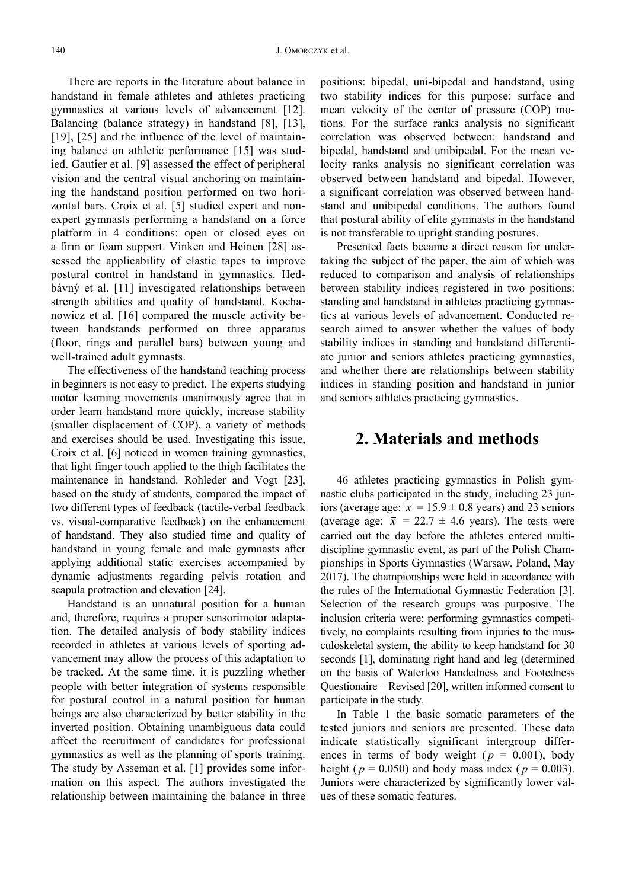There are reports in the literature about balance in handstand in female athletes and athletes practicing gymnastics at various levels of advancement [12]. Balancing (balance strategy) in handstand [8], [13], [19], [25] and the influence of the level of maintaining balance on athletic performance [15] was studied. Gautier et al. [9] assessed the effect of peripheral vision and the central visual anchoring on maintaining the handstand position performed on two horizontal bars. Croix et al. [5] studied expert and nonexpert gymnasts performing a handstand on a force platform in 4 conditions: open or closed eyes on a firm or foam support. Vinken and Heinen [28] assessed the applicability of elastic tapes to improve postural control in handstand in gymnastics. Hedbávný et al. [11] investigated relationships between strength abilities and quality of handstand. Kochanowicz et al. [16] compared the muscle activity between handstands performed on three apparatus (floor, rings and parallel bars) between young and well-trained adult gymnasts.

The effectiveness of the handstand teaching process in beginners is not easy to predict. The experts studying motor learning movements unanimously agree that in order learn handstand more quickly, increase stability (smaller displacement of COP), a variety of methods and exercises should be used. Investigating this issue, Croix et al. [6] noticed in women training gymnastics, that light finger touch applied to the thigh facilitates the maintenance in handstand. Rohleder and Vogt [23], based on the study of students, compared the impact of two different types of feedback (tactile-verbal feedback vs. visual-comparative feedback) on the enhancement of handstand. They also studied time and quality of handstand in young female and male gymnasts after applying additional static exercises accompanied by dynamic adjustments regarding pelvis rotation and scapula protraction and elevation [24].

Handstand is an unnatural position for a human and, therefore, requires a proper sensorimotor adaptation. The detailed analysis of body stability indices recorded in athletes at various levels of sporting advancement may allow the process of this adaptation to be tracked. At the same time, it is puzzling whether people with better integration of systems responsible for postural control in a natural position for human beings are also characterized by better stability in the inverted position. Obtaining unambiguous data could affect the recruitment of candidates for professional gymnastics as well as the planning of sports training. The study by Asseman et al. [1] provides some information on this aspect. The authors investigated the relationship between maintaining the balance in three positions: bipedal, uni-bipedal and handstand, using two stability indices for this purpose: surface and mean velocity of the center of pressure (COP) motions. For the surface ranks analysis no significant correlation was observed between: handstand and bipedal, handstand and unibipedal. For the mean velocity ranks analysis no significant correlation was observed between handstand and bipedal. However, a significant correlation was observed between handstand and unibipedal conditions. The authors found that postural ability of elite gymnasts in the handstand is not transferable to upright standing postures.

Presented facts became a direct reason for undertaking the subject of the paper, the aim of which was reduced to comparison and analysis of relationships between stability indices registered in two positions: standing and handstand in athletes practicing gymnastics at various levels of advancement. Conducted research aimed to answer whether the values of body stability indices in standing and handstand differentiate junior and seniors athletes practicing gymnastics, and whether there are relationships between stability indices in standing position and handstand in junior and seniors athletes practicing gymnastics.

### **2. Materials and methods**

46 athletes practicing gymnastics in Polish gymnastic clubs participated in the study, including 23 juniors (average age:  $\bar{x} = 15.9 \pm 0.8$  years) and 23 seniors (average age:  $\bar{x}$  = 22.7  $\pm$  4.6 years). The tests were carried out the day before the athletes entered multidiscipline gymnastic event, as part of the Polish Championships in Sports Gymnastics (Warsaw, Poland, May 2017). The championships were held in accordance with the rules of the International Gymnastic Federation [3]. Selection of the research groups was purposive. The inclusion criteria were: performing gymnastics competitively, no complaints resulting from injuries to the musculoskeletal system, the ability to keep handstand for 30 seconds [1], dominating right hand and leg (determined on the basis of Waterloo Handedness and Footedness Questionaire – Revised [20], written informed consent to participate in the study.

In Table 1 the basic somatic parameters of the tested juniors and seniors are presented. These data indicate statistically significant intergroup differences in terms of body weight ( $p = 0.001$ ), body height ( $p = 0.050$ ) and body mass index ( $p = 0.003$ ). Juniors were characterized by significantly lower values of these somatic features.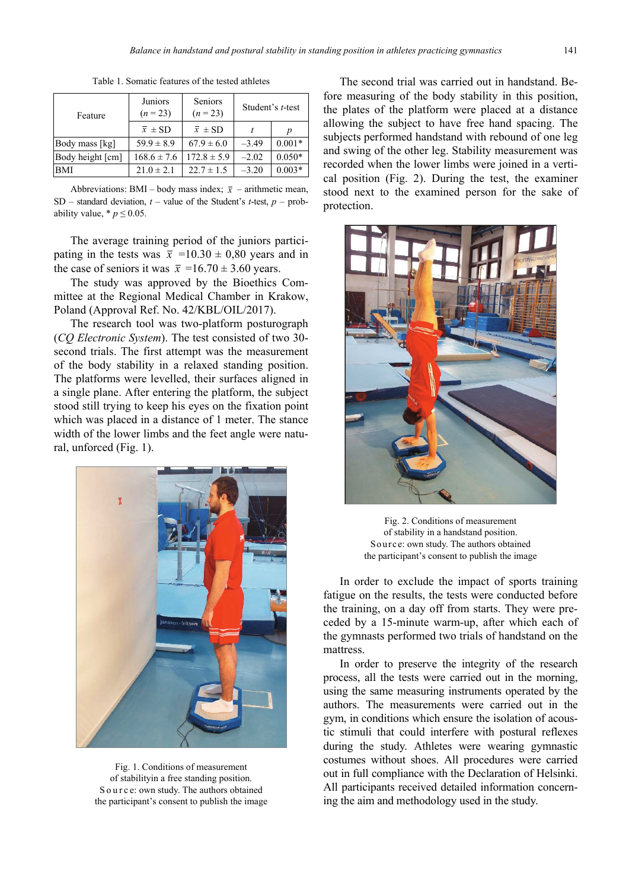| Feature          | Juniors<br>$(n = 23)$ | Seniors<br>$(n = 23)$ |         | Student's t-test |
|------------------|-----------------------|-----------------------|---------|------------------|
|                  | $\bar{x} \pm SD$      | $\bar{x} \pm SD$      |         | Ď                |
| Body mass [kg]   | $59.9 \pm 8.9$        | $67.9 \pm 6.0$        | $-3.49$ | $0.001*$         |
| Body height [cm] | $168.6 \pm 7.6$       | $172.8 \pm 5.9$       | $-2.02$ | $0.050*$         |
| <b>BMI</b>       | $21.0 \pm 2.1$        | $22.7 \pm 1.5$        | $-3.20$ | $0.003*$         |

Table 1. Somatic features of the tested athletes

Abbreviations: BMI – body mass index;  $\bar{x}$  – arithmetic mean, SD – standard deviation,  $t$  – value of the Student's *t*-test,  $p$  – probability value,  $*$   $p \le 0.05$ .

The average training period of the juniors participating in the tests was  $\bar{x}$  =10.30  $\pm$  0,80 years and in the case of seniors it was  $\bar{x}$  =16.70 ± 3.60 years.

The study was approved by the Bioethics Committee at the Regional Medical Chamber in Krakow, Poland (Approval Ref. No. 42/KBL/OIL/2017).

The research tool was two-platform posturograph (*CQ Electronic System*). The test consisted of two 30 second trials. The first attempt was the measurement of the body stability in a relaxed standing position. The platforms were levelled, their surfaces aligned in a single plane. After entering the platform, the subject stood still trying to keep his eyes on the fixation point which was placed in a distance of 1 meter. The stance width of the lower limbs and the feet angle were natural, unforced (Fig. 1).



Fig. 1. Conditions of measurement of stabilityin a free standing position. S o u r c e: own study. The authors obtained the participant's consent to publish the image

The second trial was carried out in handstand. Before measuring of the body stability in this position, the plates of the platform were placed at a distance allowing the subject to have free hand spacing. The subjects performed handstand with rebound of one leg and swing of the other leg. Stability measurement was recorded when the lower limbs were joined in a vertical position (Fig. 2). During the test, the examiner stood next to the examined person for the sake of protection.



Fig. 2. Conditions of measurement of stability in a handstand position. Source: own study. The authors obtained the participant's consent to publish the image

In order to exclude the impact of sports training fatigue on the results, the tests were conducted before the training, on a day off from starts. They were preceded by a 15-minute warm-up, after which each of the gymnasts performed two trials of handstand on the mattress.

In order to preserve the integrity of the research process, all the tests were carried out in the morning, using the same measuring instruments operated by the authors. The measurements were carried out in the gym, in conditions which ensure the isolation of acoustic stimuli that could interfere with postural reflexes during the study. Athletes were wearing gymnastic costumes without shoes. All procedures were carried out in full compliance with the Declaration of Helsinki. All participants received detailed information concerning the aim and methodology used in the study.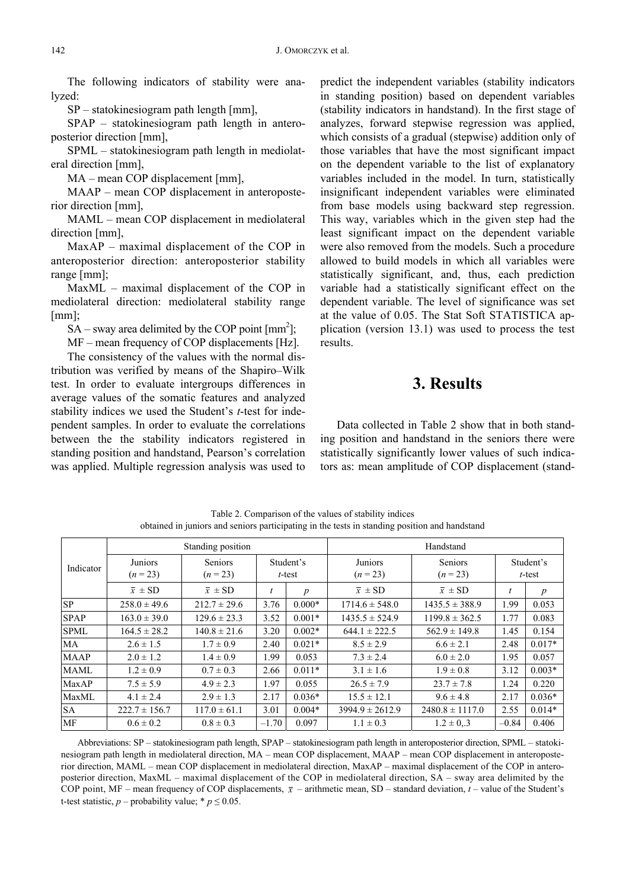The following indicators of stability were analyzed:

SP – statokinesiogram path length [mm],

SPAP – statokinesiogram path length in anteroposterior direction [mm],

SPML – statokinesiogram path length in mediolateral direction [mm],

MA – mean COP displacement [mm],

MAAP – mean COP displacement in anteroposterior direction [mm],

MAML – mean COP displacement in mediolateral direction [mm],

MaxAP – maximal displacement of the COP in anteroposterior direction: anteroposterior stability range [mm];

MaxML – maximal displacement of the COP in mediolateral direction: mediolateral stability range [mm];

 $SA - sway$  area delimited by the COP point  $[mm^2]$ ;

MF – mean frequency of COP displacements [Hz].

The consistency of the values with the normal distribution was verified by means of the Shapiro–Wilk test. In order to evaluate intergroups differences in average values of the somatic features and analyzed stability indices we used the Student's *t*-test for independent samples. In order to evaluate the correlations between the the stability indicators registered in standing position and handstand, Pearson's correlation was applied. Multiple regression analysis was used to

predict the independent variables (stability indicators in standing position) based on dependent variables (stability indicators in handstand). In the first stage of analyzes, forward stepwise regression was applied, which consists of a gradual (stepwise) addition only of those variables that have the most significant impact on the dependent variable to the list of explanatory variables included in the model. In turn, statistically insignificant independent variables were eliminated from base models using backward step regression. This way, variables which in the given step had the least significant impact on the dependent variable were also removed from the models. Such a procedure allowed to build models in which all variables were statistically significant, and, thus, each prediction variable had a statistically significant effect on the dependent variable. The level of significance was set at the value of 0.05. The Stat Soft STATISTICA application (version 13.1) was used to process the test results.

## **3. Results**

Data collected in Table 2 show that in both standing position and handstand in the seniors there were statistically significantly lower values of such indicators as: mean amplitude of COP displacement (stand-

|             |                     | Standing position     |                     |                  | Handstand             |                     |                        |                  |  |  |
|-------------|---------------------|-----------------------|---------------------|------------------|-----------------------|---------------------|------------------------|------------------|--|--|
| Indicator   | Juniors<br>$(n=23)$ | Seniors<br>$(n = 23)$ | Student's<br>t-test |                  | Juniors<br>$(n = 23)$ | Seniors<br>$(n=23)$ | Student's<br>$t$ -test |                  |  |  |
|             | $\bar{x} \pm SD$    | $\bar{x} \pm SD$      | t                   | $\boldsymbol{p}$ | $\bar{x} \pm SD$      | $\bar{x} \pm SD$    | t                      | $\boldsymbol{p}$ |  |  |
| <b>SP</b>   | $258.0 \pm 49.6$    | $212.7 \pm 29.6$      | 3.76                | $0.000*$         | $1714.6 \pm 548.0$    | $1435.5 \pm 388.9$  | 1.99                   | 0.053            |  |  |
| <b>SPAP</b> | $163.0 \pm 39.0$    | $129.6 \pm 23.3$      | 3.52                | $0.001*$         | $1435.5 \pm 524.9$    | $1199.8 \pm 362.5$  | 1.77                   | 0.083            |  |  |
| <b>SPML</b> | $164.5 \pm 28.2$    | $140.8 \pm 21.6$      | 3.20                | $0.002*$         | $644.1 \pm 222.5$     | $562.9 \pm 149.8$   | 1.45                   | 0.154            |  |  |
| <b>MA</b>   | $2.6 \pm 1.5$       | $1.7 \pm 0.9$         | 2.40                | $0.021*$         | $8.5 \pm 2.9$         | $6.6 \pm 2.1$       | 2.48                   | $0.017*$         |  |  |
| <b>MAAP</b> | $2.0 \pm 1.2$       | $1.4 \pm 0.9$         | 1.99                | 0.053            | $7.3 \pm 2.4$         | $6.0 \pm 2.0$       | 1.95                   | 0.057            |  |  |
| <b>MAML</b> | $1.2 \pm 0.9$       | $0.7 \pm 0.3$         | 2.66                | $0.011*$         | $3.1 \pm 1.6$         | $1.9 \pm 0.8$       | 3.12                   | $0.003*$         |  |  |
| MaxAP       | $7.5 \pm 5.9$       | $4.9 \pm 2.3$         | 1.97                | 0.055            | $26.5 \pm 7.9$        | $23.7 \pm 7.8$      | 1.24                   | 0.220            |  |  |
| MaxML       | $4.1 \pm 2.4$       | $2.9 \pm 1.3$         | 2.17                | $0.036*$         | $15.5 \pm 12.1$       | $9.6 \pm 4.8$       | 2.17                   | $0.036*$         |  |  |
| <b>SA</b>   | $222.7 \pm 156.7$   | $117.0 \pm 61.1$      | 3.01                | $0.004*$         | $3994.9 \pm 2612.9$   | $2480.8 \pm 1117.0$ | 2.55                   | $0.014*$         |  |  |
| MF          | $0.6 \pm 0.2$       | $0.8 \pm 0.3$         | $-1.70$             | 0.097            | $1.1 \pm 0.3$         | $1.2 \pm 0.3$       | $-0.84$                | 0.406            |  |  |

Table 2. Comparison of the values of stability indices obtained in juniors and seniors participating in the tests in standing position and handstand

Abbreviations: SP – statokinesiogram path length, SPAP – statokinesiogram path length in anteroposterior direction, SPML – statokinesiogram path length in mediolateral direction, MA – mean COP displacement, MAAP – mean COP displacement in anteroposterior direction, MAML – mean COP displacement in mediolateral direction, MaxAP – maximal displacement of the COP in anteroposterior direction, MaxML – maximal displacement of the COP in mediolateral direction, SA – sway area delimited by the COP point, MF – mean frequency of COP displacements,  $\bar{x}$  – arithmetic mean, SD – standard deviation,  $t$  – value of the Student's t-test statistic,  $p$  – probability value; \*  $p \le 0.05$ .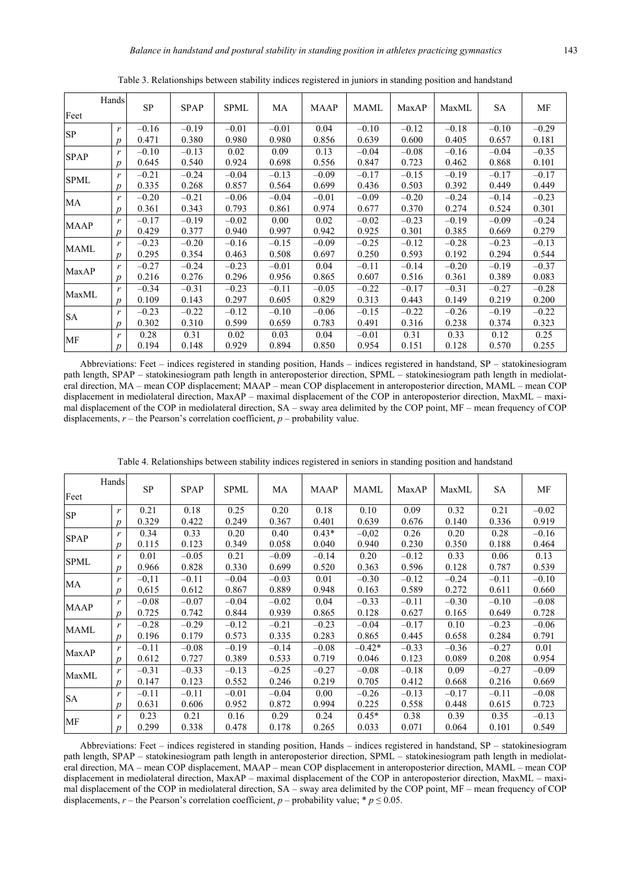|             | Hands            | <b>SP</b> |             |             |         |             |         |         |         |           |         |
|-------------|------------------|-----------|-------------|-------------|---------|-------------|---------|---------|---------|-----------|---------|
| Feet        |                  |           | <b>SPAP</b> | <b>SPML</b> | MA      | <b>MAAP</b> | MAML    | MaxAP   | MaxML   | <b>SA</b> | МF      |
|             | $\mathbf{r}$     | $-0.16$   | $-0.19$     | $-0.01$     | $-0.01$ | 0.04        | $-0.10$ | $-0.12$ | $-0.18$ | $-0.10$   | $-0.29$ |
| SP          | $\boldsymbol{p}$ | 0.471     | 0.380       | 0.980       | 0.980   | 0.856       | 0.639   | 0.600   | 0.405   | 0.657     | 0.181   |
| <b>SPAP</b> | r                | $-0.10$   | $-0.13$     | 0.02        | 0.09    | 0.13        | $-0.04$ | $-0.08$ | $-0.16$ | $-0.04$   | $-0.35$ |
|             | $\boldsymbol{p}$ | 0.645     | 0.540       | 0.924       | 0.698   | 0.556       | 0.847   | 0.723   | 0.462   | 0.868     | 0.101   |
| <b>SPML</b> | $\mathbf{r}$     | $-0.21$   | $-0.24$     | $-0.04$     | $-0.13$ | $-0.09$     | $-0.17$ | $-0.15$ | $-0.19$ | $-0.17$   | $-0.17$ |
|             | $\boldsymbol{p}$ | 0.335     | 0.268       | 0.857       | 0.564   | 0.699       | 0.436   | 0.503   | 0.392   | 0.449     | 0.449   |
| MA          | r                | $-0.20$   | $-0.21$     | $-0.06$     | $-0.04$ | $-0.01$     | $-0.09$ | $-0.20$ | $-0.24$ | $-0.14$   | $-0.23$ |
|             | $\boldsymbol{p}$ | 0.361     | 0.343       | 0.793       | 0.861   | 0.974       | 0.677   | 0.370   | 0.274   | 0.524     | 0.301   |
| <b>MAAP</b> | r                | $-0.17$   | $-0.19$     | $-0.02$     | 0.00    | 0.02        | $-0.02$ | $-0.23$ | $-0.19$ | $-0.09$   | $-0.24$ |
|             | $\boldsymbol{p}$ | 0.429     | 0.377       | 0.940       | 0.997   | 0.942       | 0.925   | 0.301   | 0.385   | 0.669     | 0.279   |
| <b>MAML</b> | r                | $-0.23$   | $-0.20$     | $-0.16$     | $-0.15$ | $-0.09$     | $-0.25$ | $-0.12$ | $-0.28$ | $-0.23$   | $-0.13$ |
|             | $\boldsymbol{p}$ | 0.295     | 0.354       | 0.463       | 0.508   | 0.697       | 0.250   | 0.593   | 0.192   | 0.294     | 0.544   |
| MaxAP       | r                | $-0.27$   | $-0.24$     | $-0.23$     | $-0.01$ | 0.04        | $-0.11$ | $-0.14$ | $-0.20$ | $-0.19$   | $-0.37$ |
|             | $\boldsymbol{p}$ | 0.216     | 0.276       | 0.296       | 0.956   | 0.865       | 0.607   | 0.516   | 0.361   | 0.389     | 0.083   |
|             | r                | $-0.34$   | $-0.31$     | $-0.23$     | $-0.11$ | $-0.05$     | $-0.22$ | $-0.17$ | $-0.31$ | $-0.27$   | $-0.28$ |
| MaxML       | $\boldsymbol{p}$ | 0.109     | 0.143       | 0.297       | 0.605   | 0.829       | 0.313   | 0.443   | 0.149   | 0.219     | 0.200   |
| <b>SA</b>   | r                | $-0.23$   | $-0.22$     | $-0.12$     | $-0.10$ | $-0.06$     | $-0.15$ | $-0.22$ | $-0.26$ | $-0.19$   | $-0.22$ |
|             | $\boldsymbol{p}$ | 0.302     | 0.310       | 0.599       | 0.659   | 0.783       | 0.491   | 0.316   | 0.238   | 0.374     | 0.323   |
|             | r                | 0.28      | 0.31        | 0.02        | 0.03    | 0.04        | $-0.01$ | 0.31    | 0.33    | 0.12      | 0.25    |
| MF          | $p_{\parallel}$  | 0.194     | 0.148       | 0.929       | 0.894   | 0.850       | 0.954   | 0.151   | 0.128   | 0.570     | 0.255   |

Table 3. Relationships between stability indices registered in juniors in standing position and handstand

Abbreviations: Feet – indices registered in standing position, Hands – indices registered in handstand, SP – statokinesiogram path length, SPAP – statokinesiogram path length in anteroposterior direction, SPML – statokinesiogram path length in mediolateral direction, MA – mean COP displacement; MAAP – mean COP displacement in anteroposterior direction, MAML – mean COP displacement in mediolateral direction, MaxAP – maximal displacement of the COP in anteroposterior direction, MaxML – maximal displacement of the COP in mediolateral direction, SA – sway area delimited by the COP point, MF – mean frequency of COP displacements,  $r$  – the Pearson's correlation coefficient,  $p$  – probability value.

| Feet        | Hands            | <b>SP</b> | <b>SPAP</b> | <b>SPML</b> | MA      | MAAP    | MAML     | MaxAP   | MaxML   | SA      | MF      |
|-------------|------------------|-----------|-------------|-------------|---------|---------|----------|---------|---------|---------|---------|
|             |                  |           |             |             |         |         |          |         |         |         |         |
| SP          | r                | 0.21      | 0.18        | 0.25        | 0.20    | 0.18    | 0.10     | 0.09    | 0.32    | 0.21    | $-0.02$ |
|             | $\boldsymbol{p}$ | 0.329     | 0.422       | 0.249       | 0.367   | 0.401   | 0.639    | 0.676   | 0.140   | 0.336   | 0.919   |
| <b>SPAP</b> | r                | 0.34      | 0.33        | 0.20        | 0.40    | $0.43*$ | $-0,02$  | 0.26    | 0.20    | 0.28    | $-0.16$ |
|             | $\boldsymbol{p}$ | 0.115     | 0.123       | 0.349       | 0.058   | 0.040   | 0.940    | 0.230   | 0.350   | 0.188   | 0.464   |
| <b>SPML</b> | r                | 0.01      | $-0.05$     | 0.21        | $-0.09$ | $-0.14$ | 0.20     | $-0.12$ | 0.33    | 0.06    | 0.13    |
|             | p                | 0.966     | 0.828       | 0.330       | 0.699   | 0.520   | 0.363    | 0.596   | 0.128   | 0.787   | 0.539   |
|             | r                | $-0.11$   | $-0.11$     | $-0.04$     | $-0.03$ | 0.01    | $-0.30$  | $-0.12$ | $-0.24$ | $-0.11$ | $-0.10$ |
| MA          | $\boldsymbol{p}$ | 0,615     | 0.612       | 0.867       | 0.889   | 0.948   | 0.163    | 0.589   | 0.272   | 0.611   | 0.660   |
|             | r                | $-0.08$   | $-0.07$     | $-0.04$     | $-0.02$ | 0.04    | $-0.33$  | $-0.11$ | $-0.30$ | $-0.10$ | $-0.08$ |
| <b>MAAP</b> | p                | 0.725     | 0.742       | 0.844       | 0.939   | 0.865   | 0.128    | 0.627   | 0.165   | 0.649   | 0.728   |
|             | r                | $-0.28$   | $-0.29$     | $-0.12$     | $-0.21$ | $-0.23$ | $-0.04$  | $-0.17$ | 0.10    | $-0.23$ | $-0.06$ |
| <b>MAML</b> | $\boldsymbol{p}$ | 0.196     | 0.179       | 0.573       | 0.335   | 0.283   | 0.865    | 0.445   | 0.658   | 0.284   | 0.791   |
| MaxAP       | r                | $-0.11$   | $-0.08$     | $-0.19$     | $-0.14$ | $-0.08$ | $-0.42*$ | $-0.33$ | $-0.36$ | $-0.27$ | 0.01    |
|             | $\boldsymbol{p}$ | 0.612     | 0.727       | 0.389       | 0.533   | 0.719   | 0.046    | 0.123   | 0.089   | 0.208   | 0.954   |
|             | r                | $-0.31$   | $-0.33$     | $-0.13$     | $-0.25$ | $-0.27$ | $-0.08$  | $-0.18$ | 0.09    | $-0.27$ | $-0.09$ |
| MaxML       | $\boldsymbol{p}$ | 0.147     | 0.123       | 0.552       | 0.246   | 0.219   | 0.705    | 0.412   | 0.668   | 0.216   | 0.669   |
|             | r                | $-0.11$   | $-0.11$     | $-0.01$     | $-0.04$ | 0.00    | $-0.26$  | $-0.13$ | $-0.17$ | $-0.11$ | $-0.08$ |
| <b>SA</b>   | $\boldsymbol{p}$ | 0.631     | 0.606       | 0.952       | 0.872   | 0.994   | 0.225    | 0.558   | 0.448   | 0.615   | 0.723   |
|             | r                | 0.23      | 0.21        | 0.16        | 0.29    | 0.24    | $0.45*$  | 0.38    | 0.39    | 0.35    | $-0.13$ |
| MF          | $\boldsymbol{p}$ | 0.299     | 0.338       | 0.478       | 0.178   | 0.265   | 0.033    | 0.071   | 0.064   | 0.101   | 0.549   |

Table 4. Relationships between stability indices registered in seniors in standing position and handstand

Abbreviations: Feet – indices registered in standing position, Hands – indices registered in handstand, SP – statokinesiogram path length, SPAP – statokinesiogram path length in anteroposterior direction, SPML – statokinesiogram path length in mediolateral direction, MA – mean COP displacement, MAAP – mean COP displacement in anteroposterior direction, MAML – mean COP displacement in mediolateral direction, MaxAP – maximal displacement of the COP in anteroposterior direction, MaxML – maximal displacement of the COP in mediolateral direction, SA – sway area delimited by the COP point, MF – mean frequency of COP displacements, *r* – the Pearson's correlation coefficient, *p* – probability value; \*  $p \le 0.05$ .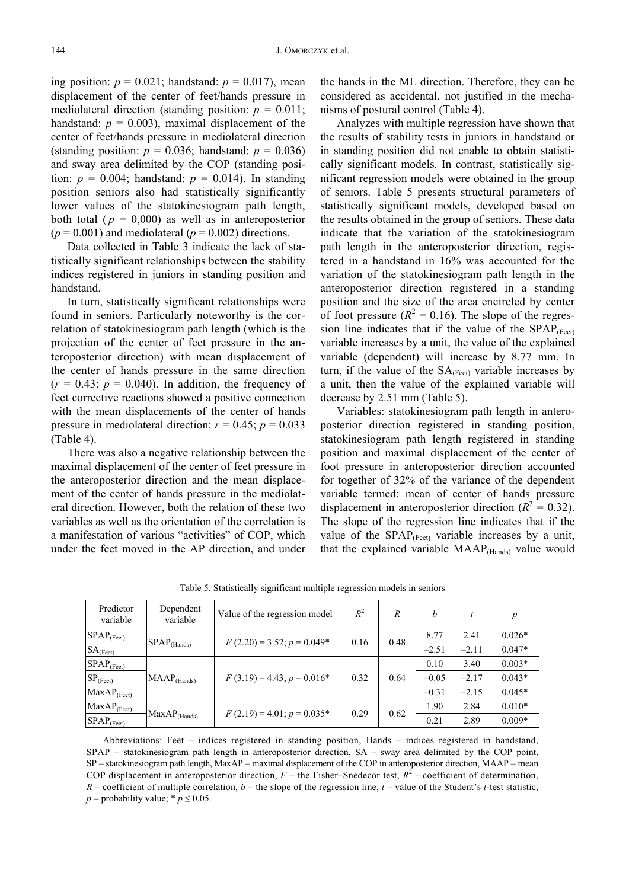ing position:  $p = 0.021$ ; handstand:  $p = 0.017$ ), mean displacement of the center of feet/hands pressure in mediolateral direction (standing position:  $p = 0.011$ ; handstand:  $p = 0.003$ ), maximal displacement of the center of feet/hands pressure in mediolateral direction (standing position:  $p = 0.036$ ; handstand:  $p = 0.036$ ) and sway area delimited by the COP (standing position:  $p = 0.004$ ; handstand:  $p = 0.014$ ). In standing position seniors also had statistically significantly lower values of the statokinesiogram path length, both total ( $p = 0,000$ ) as well as in anteroposterior  $(p = 0.001)$  and mediolateral  $(p = 0.002)$  directions.

Data collected in Table 3 indicate the lack of statistically significant relationships between the stability indices registered in juniors in standing position and handstand.

In turn, statistically significant relationships were found in seniors. Particularly noteworthy is the correlation of statokinesiogram path length (which is the projection of the center of feet pressure in the anteroposterior direction) with mean displacement of the center of hands pressure in the same direction  $(r = 0.43; p = 0.040)$ . In addition, the frequency of feet corrective reactions showed a positive connection with the mean displacements of the center of hands pressure in mediolateral direction:  $r = 0.45$ ;  $p = 0.033$ (Table 4).

There was also a negative relationship between the maximal displacement of the center of feet pressure in the anteroposterior direction and the mean displacement of the center of hands pressure in the mediolateral direction. However, both the relation of these two variables as well as the orientation of the correlation is a manifestation of various "activities" of COP, which under the feet moved in the AP direction, and under the hands in the ML direction. Therefore, they can be considered as accidental, not justified in the mechanisms of postural control (Table 4).

Analyzes with multiple regression have shown that the results of stability tests in juniors in handstand or in standing position did not enable to obtain statistically significant models. In contrast, statistically significant regression models were obtained in the group of seniors. Table 5 presents structural parameters of statistically significant models, developed based on the results obtained in the group of seniors. These data indicate that the variation of the statokinesiogram path length in the anteroposterior direction, registered in a handstand in 16% was accounted for the variation of the statokinesiogram path length in the anteroposterior direction registered in a standing position and the size of the area encircled by center of foot pressure ( $R^2 = 0.16$ ). The slope of the regression line indicates that if the value of the  $SPAP_{(Feet)}$ variable increases by a unit, the value of the explained variable (dependent) will increase by 8.77 mm. In turn, if the value of the  $SA$ <sub>(Feet)</sub> variable increases by a unit, then the value of the explained variable will decrease by 2.51 mm (Table 5).

Variables: statokinesiogram path length in anteroposterior direction registered in standing position, statokinesiogram path length registered in standing position and maximal displacement of the center of foot pressure in anteroposterior direction accounted for together of 32% of the variance of the dependent variable termed: mean of center of hands pressure displacement in anteroposterior direction ( $R^2 = 0.32$ ). The slope of the regression line indicates that if the value of the  $SPAP_{(Feet)}$  variable increases by a unit, that the explained variable MAAP(Hands) value would

| Predictor<br>variable    | Dependent<br>variable           | Value of the regression model   | $R^2$ | R    | h       |         | p        |
|--------------------------|---------------------------------|---------------------------------|-------|------|---------|---------|----------|
| $SPAP_{(Feet)}$          |                                 | $F(2.20) = 3.52$ ; $p = 0.049*$ | 0.16  | 0.48 | 8.77    | 2.41    | $0.026*$ |
| $SA$ <sub>(Feet)</sub>   | $\text{ISPAP}_{\text{(Hands)}}$ |                                 |       |      | $-2.51$ | $-2.11$ | $0.047*$ |
| $SPAP$ <sub>(Feet)</sub> |                                 |                                 |       |      | 0.10    | 3.40    | $0.003*$ |
| $SP_{(Feet)}$            | $MAAP$ <sub>(Hands)</sub>       | $F(3.19) = 4.43$ ; $p = 0.016*$ | 0.32  | 0.64 | $-0.05$ | $-2.17$ | $0.043*$ |
| $MaxAP_{(Feet)}$         |                                 |                                 |       |      | $-0.31$ | $-2.15$ | $0.045*$ |
| $MaxAP_{(Feet)}$         | $MaxAP$ <sub>(Hands)</sub>      | $F(2.19) = 4.01; p = 0.035*$    | 0.29  | 0.62 | 1.90    | 2.84    | $0.010*$ |
| $SPAP$ <sub>(Feet)</sub> |                                 |                                 |       |      | 0.21    | 2.89    | $0.009*$ |

Table 5. Statistically significant multiple regression models in seniors

Abbreviations: Feet – indices registered in standing position, Hands – indices registered in handstand, SPAP – statokinesiogram path length in anteroposterior direction, SA – sway area delimited by the COP point, SP – statokinesiogram path length, MaxAP – maximal displacement of the COP in anteroposterior direction, MAAP – mean COP displacement in anteroposterior direction,  $F$  – the Fisher–Snedecor test,  $R^2$  – coefficient of determination, *R* – coefficient of multiple correlation, *b* – the slope of the regression line, *t* – value of the Student's *t*-test statistic, *p* – probability value; \*  $p \leq 0.05$ .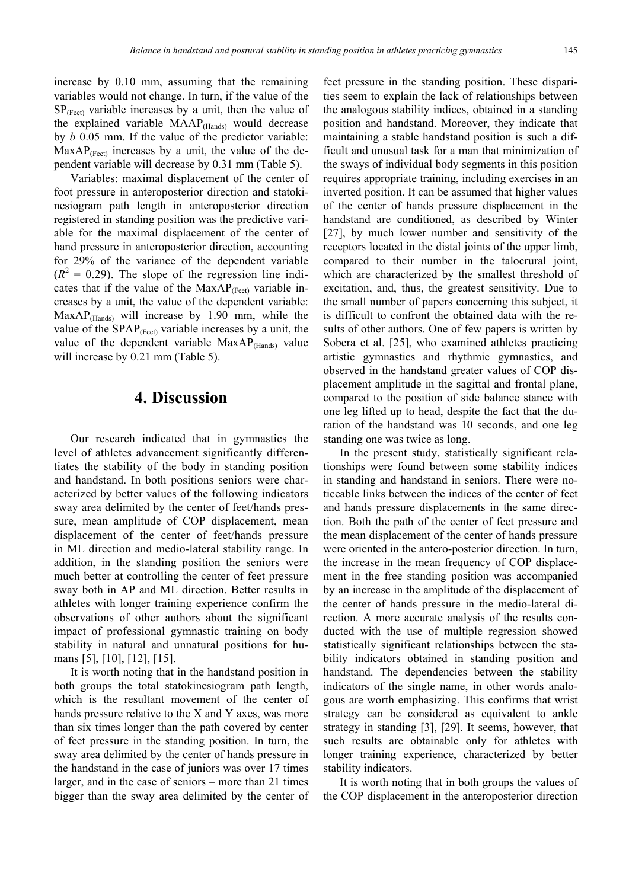increase by 0.10 mm, assuming that the remaining variables would not change. In turn, if the value of the  $SP_{(Feet)}$  variable increases by a unit, then the value of the explained variable MAAP(Hands) would decrease by *b* 0.05 mm. If the value of the predictor variable:  $MaxAP_{(Feet)}$  increases by a unit, the value of the dependent variable will decrease by 0.31 mm (Table 5).

Variables: maximal displacement of the center of foot pressure in anteroposterior direction and statokinesiogram path length in anteroposterior direction registered in standing position was the predictive variable for the maximal displacement of the center of hand pressure in anteroposterior direction, accounting for 29% of the variance of the dependent variable  $(R<sup>2</sup> = 0.29)$ . The slope of the regression line indicates that if the value of the  $MaxAP_{(Feet)}$  variable increases by a unit, the value of the dependent variable:  $MaxAP<sub>(Hands)</sub>$  will increase by 1.90 mm, while the value of the  $SPAP_{(Feet)}$  variable increases by a unit, the value of the dependent variable MaxAP<sub>(Hands)</sub> value will increase by 0.21 mm (Table 5).

#### **4. Discussion**

Our research indicated that in gymnastics the level of athletes advancement significantly differentiates the stability of the body in standing position and handstand. In both positions seniors were characterized by better values of the following indicators sway area delimited by the center of feet/hands pressure, mean amplitude of COP displacement, mean displacement of the center of feet/hands pressure in ML direction and medio-lateral stability range. In addition, in the standing position the seniors were much better at controlling the center of feet pressure sway both in AP and ML direction. Better results in athletes with longer training experience confirm the observations of other authors about the significant impact of professional gymnastic training on body stability in natural and unnatural positions for humans [5], [10], [12], [15].

It is worth noting that in the handstand position in both groups the total statokinesiogram path length, which is the resultant movement of the center of hands pressure relative to the X and Y axes, was more than six times longer than the path covered by center of feet pressure in the standing position. In turn, the sway area delimited by the center of hands pressure in the handstand in the case of juniors was over 17 times larger, and in the case of seniors – more than 21 times bigger than the sway area delimited by the center of

feet pressure in the standing position. These disparities seem to explain the lack of relationships between the analogous stability indices, obtained in a standing position and handstand. Moreover, they indicate that maintaining a stable handstand position is such a difficult and unusual task for a man that minimization of the sways of individual body segments in this position requires appropriate training, including exercises in an inverted position. It can be assumed that higher values of the center of hands pressure displacement in the handstand are conditioned, as described by Winter [27], by much lower number and sensitivity of the receptors located in the distal joints of the upper limb, compared to their number in the talocrural joint, which are characterized by the smallest threshold of excitation, and, thus, the greatest sensitivity. Due to the small number of papers concerning this subject, it is difficult to confront the obtained data with the results of other authors. One of few papers is written by Sobera et al. [25], who examined athletes practicing artistic gymnastics and rhythmic gymnastics, and observed in the handstand greater values of COP displacement amplitude in the sagittal and frontal plane, compared to the position of side balance stance with one leg lifted up to head, despite the fact that the duration of the handstand was 10 seconds, and one leg standing one was twice as long.

In the present study, statistically significant relationships were found between some stability indices in standing and handstand in seniors. There were noticeable links between the indices of the center of feet and hands pressure displacements in the same direction. Both the path of the center of feet pressure and the mean displacement of the center of hands pressure were oriented in the antero-posterior direction. In turn, the increase in the mean frequency of COP displacement in the free standing position was accompanied by an increase in the amplitude of the displacement of the center of hands pressure in the medio-lateral direction. A more accurate analysis of the results conducted with the use of multiple regression showed statistically significant relationships between the stability indicators obtained in standing position and handstand. The dependencies between the stability indicators of the single name, in other words analogous are worth emphasizing. This confirms that wrist strategy can be considered as equivalent to ankle strategy in standing [3], [29]. It seems, however, that such results are obtainable only for athletes with longer training experience, characterized by better stability indicators.

It is worth noting that in both groups the values of the COP displacement in the anteroposterior direction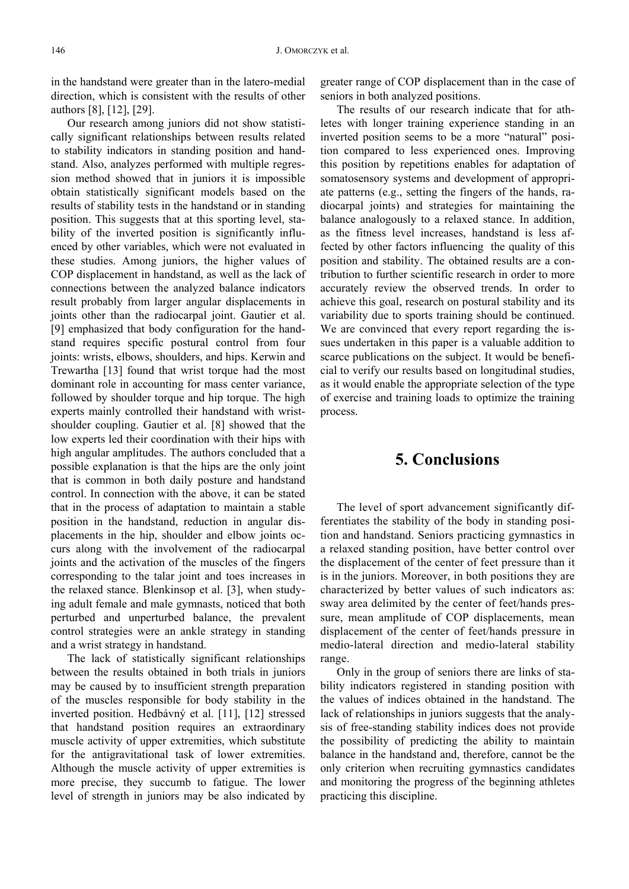in the handstand were greater than in the latero-medial direction, which is consistent with the results of other authors [8], [12], [29].

Our research among juniors did not show statistically significant relationships between results related to stability indicators in standing position and handstand. Also, analyzes performed with multiple regression method showed that in juniors it is impossible obtain statistically significant models based on the results of stability tests in the handstand or in standing position. This suggests that at this sporting level, stability of the inverted position is significantly influenced by other variables, which were not evaluated in these studies. Among juniors, the higher values of COP displacement in handstand, as well as the lack of connections between the analyzed balance indicators result probably from larger angular displacements in joints other than the radiocarpal joint. Gautier et al. [9] emphasized that body configuration for the handstand requires specific postural control from four joints: wrists, elbows, shoulders, and hips. Kerwin and Trewartha [13] found that wrist torque had the most dominant role in accounting for mass center variance, followed by shoulder torque and hip torque. The high experts mainly controlled their handstand with wristshoulder coupling. Gautier et al. [8] showed that the low experts led their coordination with their hips with high angular amplitudes. The authors concluded that a possible explanation is that the hips are the only joint that is common in both daily posture and handstand control. In connection with the above, it can be stated that in the process of adaptation to maintain a stable position in the handstand, reduction in angular displacements in the hip, shoulder and elbow joints occurs along with the involvement of the radiocarpal joints and the activation of the muscles of the fingers corresponding to the talar joint and toes increases in the relaxed stance. Blenkinsop et al. [3], when studying adult female and male gymnasts, noticed that both perturbed and unperturbed balance, the prevalent control strategies were an ankle strategy in standing and a wrist strategy in handstand.

The lack of statistically significant relationships between the results obtained in both trials in juniors may be caused by to insufficient strength preparation of the muscles responsible for body stability in the inverted position. Hedbávný et al. [11], [12] stressed that handstand position requires an extraordinary muscle activity of upper extremities, which substitute for the antigravitational task of lower extremities. Although the muscle activity of upper extremities is more precise, they succumb to fatigue. The lower level of strength in juniors may be also indicated by

greater range of COP displacement than in the case of seniors in both analyzed positions.

The results of our research indicate that for athletes with longer training experience standing in an inverted position seems to be a more "natural" position compared to less experienced ones. Improving this position by repetitions enables for adaptation of somatosensory systems and development of appropriate patterns (e.g., setting the fingers of the hands, radiocarpal joints) and strategies for maintaining the balance analogously to a relaxed stance. In addition, as the fitness level increases, handstand is less affected by other factors influencing the quality of this position and stability. The obtained results are a contribution to further scientific research in order to more accurately review the observed trends. In order to achieve this goal, research on postural stability and its variability due to sports training should be continued. We are convinced that every report regarding the issues undertaken in this paper is a valuable addition to scarce publications on the subject. It would be beneficial to verify our results based on longitudinal studies, as it would enable the appropriate selection of the type of exercise and training loads to optimize the training process.

## **5. Conclusions**

The level of sport advancement significantly differentiates the stability of the body in standing position and handstand. Seniors practicing gymnastics in a relaxed standing position, have better control over the displacement of the center of feet pressure than it is in the juniors. Moreover, in both positions they are characterized by better values of such indicators as: sway area delimited by the center of feet/hands pressure, mean amplitude of COP displacements, mean displacement of the center of feet/hands pressure in medio-lateral direction and medio-lateral stability range.

Only in the group of seniors there are links of stability indicators registered in standing position with the values of indices obtained in the handstand. The lack of relationships in juniors suggests that the analysis of free-standing stability indices does not provide the possibility of predicting the ability to maintain balance in the handstand and, therefore, cannot be the only criterion when recruiting gymnastics candidates and monitoring the progress of the beginning athletes practicing this discipline.